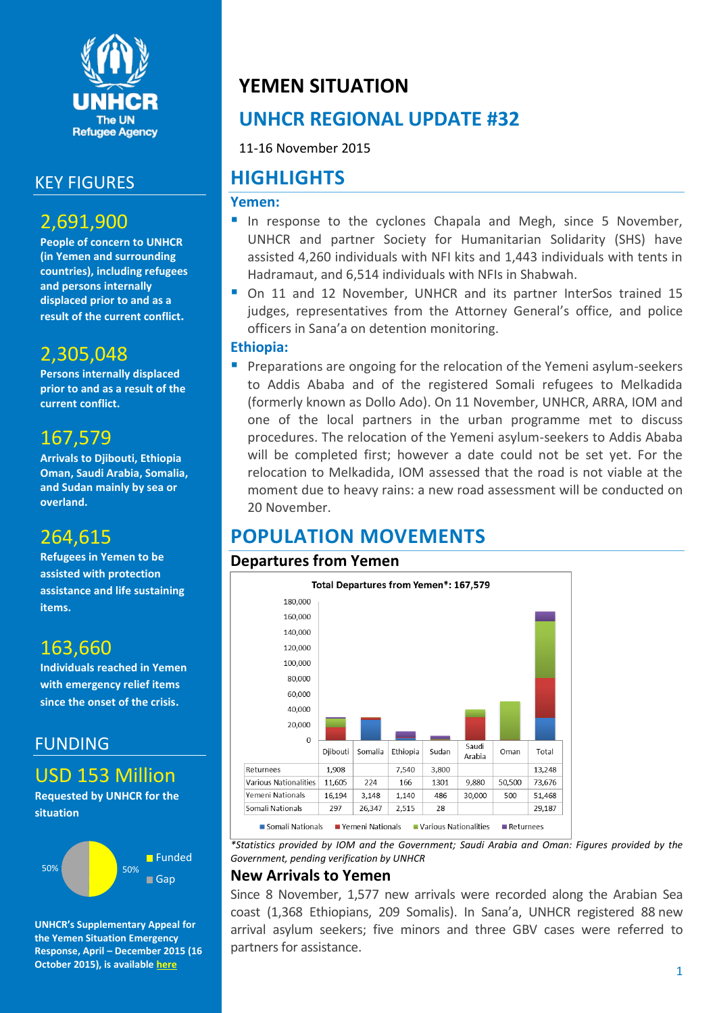

## KEY FIGURES

## 2,691,900

**People of concern to UNHCR (in Yemen and surrounding countries), including refugees and persons internally displaced prior to and as a result of the current conflict.**

## 2,305,048

**Persons internally displaced prior to and as a result of the current conflict.**

## 167,579

**Arrivals to Djibouti, Ethiopia Oman, Saudi Arabia, Somalia, and Sudan mainly by sea or overland.**

## 264,615

**Refugees in Yemen to be assisted with protection assistance and life sustaining items.**

## 163,660

**Individuals reached in Yemen with emergency relief items since the onset of the crisis.**

### FUNDING

USD 153 Million

**Requested by UNHCR for the situation**



**UNHCR's Supplementary Appeal for the Yemen Situation Emergency Response, April – December 2015 (16 October 2015), is available [here](http://reporting.unhcr.org/sites/default/files/UNHCR%20Yemen%20SB%20Revision%2016%20October%202015.pdf)**

## **YEMEN SITUATION**

## **UNHCR REGIONAL UPDATE #32**

11-16 November 2015

## **HIGHLIGHTS**

#### **Yemen:**

- In response to the cyclones Chapala and Megh, since 5 November, UNHCR and partner Society for Humanitarian Solidarity (SHS) have assisted 4,260 individuals with NFI kits and 1,443 individuals with tents in Hadramaut, and 6,514 individuals with NFIs in Shabwah.
- On 11 and 12 November, UNHCR and its partner InterSos trained 15 judges, representatives from the Attorney General's office, and police officers in Sana'a on detention monitoring.

#### **Ethiopia:**

**Preparations are ongoing for the relocation of the Yemeni asylum-seekers** to Addis Ababa and of the registered Somali refugees to Melkadida (formerly known as Dollo Ado). On 11 November, UNHCR, ARRA, IOM and one of the local partners in the urban programme met to discuss procedures. The relocation of the Yemeni asylum-seekers to Addis Ababa will be completed first; however a date could not be set yet. For the relocation to Melkadida, IOM assessed that the road is not viable at the moment due to heavy rains: a new road assessment will be conducted on 20 November.

# **POPULATION MOVEMENTS**

#### **Departures from Yemen**



*\*Statistics provided by IOM and the Government; Saudi Arabia and Oman: Figures provided by the Government, pending verification by UNHCR*

#### **New Arrivals to Yemen**

Since 8 November, 1,577 new arrivals were recorded along the Arabian Sea coast (1,368 Ethiopians, 209 Somalis). In Sana'a, UNHCR registered 88 new arrival asylum seekers; five minors and three GBV cases were referred to partners for assistance.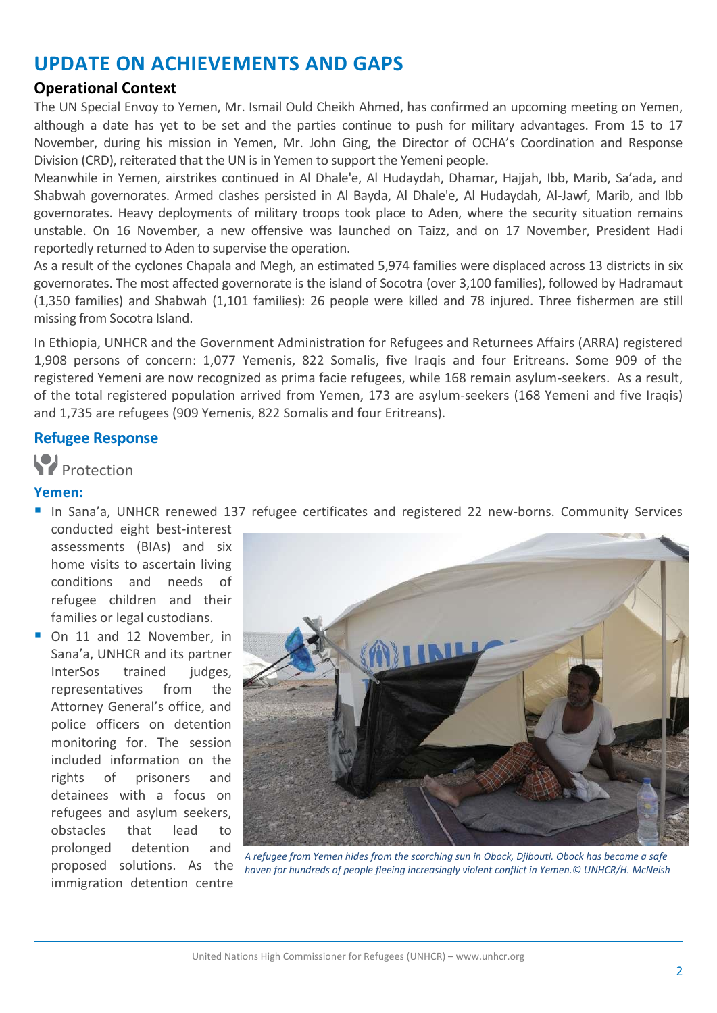## **UPDATE ON ACHIEVEMENTS AND GAPS**

#### **Operational Context**

The UN Special Envoy to Yemen, Mr. Ismail Ould Cheikh Ahmed, has confirmed an upcoming meeting on Yemen, although a date has yet to be set and the parties continue to push for military advantages. From 15 to 17 November, during his mission in Yemen, Mr. John Ging, the Director of OCHA's Coordination and Response Division (CRD), reiterated that the UN is in Yemen to support the Yemeni people.

Meanwhile in Yemen, airstrikes continued in Al Dhale'e, Al Hudaydah, Dhamar, Hajjah, Ibb, Marib, Sa'ada, and Shabwah governorates. Armed clashes persisted in Al Bayda, Al Dhale'e, Al Hudaydah, Al-Jawf, Marib, and Ibb governorates. Heavy deployments of military troops took place to Aden, where the security situation remains unstable. On 16 November, a new offensive was launched on Taizz, and on 17 November, President Hadi reportedly returned to Aden to supervise the operation.

As a result of the cyclones Chapala and Megh, an estimated 5,974 families were displaced across 13 districts in six governorates. The most affected governorate is the island of Socotra (over 3,100 families), followed by Hadramaut (1,350 families) and Shabwah (1,101 families): 26 people were killed and 78 injured. Three fishermen are still missing from Socotra Island.

In Ethiopia, UNHCR and the Government Administration for Refugees and Returnees Affairs (ARRA) registered 1,908 persons of concern: 1,077 Yemenis, 822 Somalis, five Iraqis and four Eritreans. Some 909 of the registered Yemeni are now recognized as prima facie refugees, while 168 remain asylum-seekers. As a result, of the total registered population arrived from Yemen, 173 are asylum-seekers (168 Yemeni and five Iraqis) and 1,735 are refugees (909 Yemenis, 822 Somalis and four Eritreans).

#### **Refugee Response**

Protection

#### **Yemen:**

 In Sana'a, UNHCR renewed 137 refugee certificates and registered 22 new-borns. Community Services conducted eight best-interest

assessments (BIAs) and six home visits to ascertain living conditions and needs of refugee children and their families or legal custodians.

 On 11 and 12 November, in Sana'a, UNHCR and its partner InterSos trained judges, representatives from the Attorney General's office, and police officers on detention monitoring for. The session included information on the rights of prisoners and detainees with a focus on refugees and asylum seekers, obstacles that lead to prolonged detention and proposed solutions. As the immigration detention centre



*A refugee from Yemen hides from the scorching sun in Obock, Djibouti. Obock has become a safe haven for hundreds of people fleeing increasingly violent conflict in Yemen.© UNHCR/H. McNeish*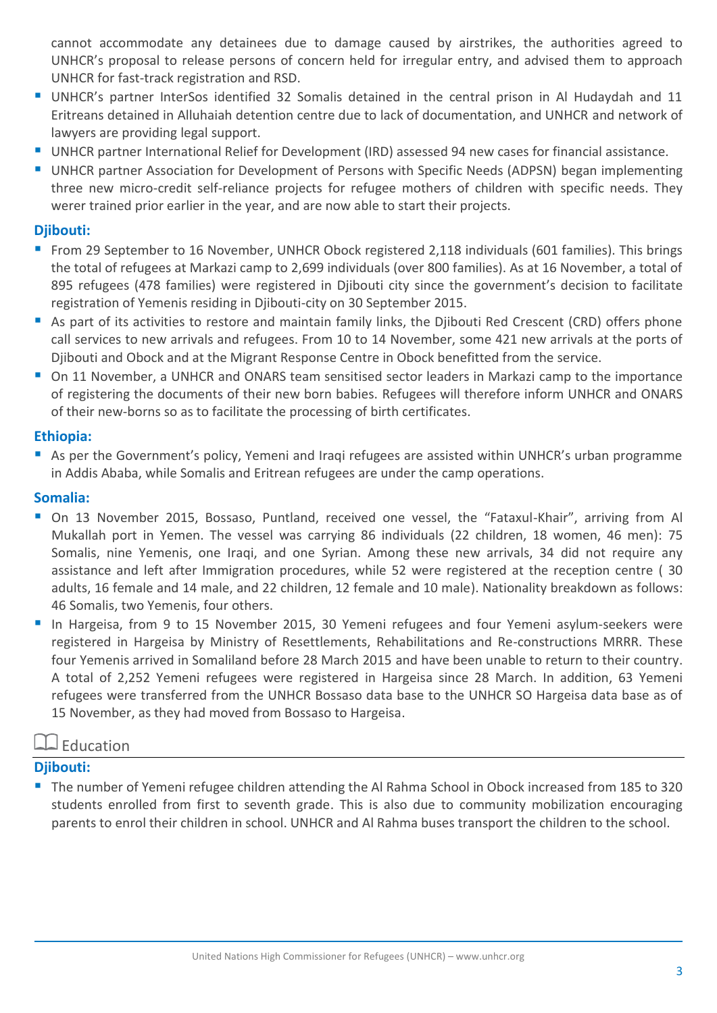cannot accommodate any detainees due to damage caused by airstrikes, the authorities agreed to UNHCR's proposal to release persons of concern held for irregular entry, and advised them to approach UNHCR for fast-track registration and RSD.

- UNHCR's partner InterSos identified 32 Somalis detained in the central prison in Al Hudaydah and 11 Eritreans detained in Alluhaiah detention centre due to lack of documentation, and UNHCR and network of lawyers are providing legal support.
- UNHCR partner International Relief for Development (IRD) assessed 94 new cases for financial assistance.
- UNHCR partner Association for Development of Persons with Specific Needs (ADPSN) began implementing three new micro-credit self-reliance projects for refugee mothers of children with specific needs. They werer trained prior earlier in the year, and are now able to start their projects.

#### **Djibouti:**

- From 29 September to 16 November, UNHCR Obock registered 2,118 individuals (601 families). This brings the total of refugees at Markazi camp to 2,699 individuals (over 800 families). As at 16 November, a total of 895 refugees (478 families) were registered in Djibouti city since the government's decision to facilitate registration of Yemenis residing in Djibouti-city on 30 September 2015.
- As part of its activities to restore and maintain family links, the Djibouti Red Crescent (CRD) offers phone call services to new arrivals and refugees. From 10 to 14 November, some 421 new arrivals at the ports of Djibouti and Obock and at the Migrant Response Centre in Obock benefitted from the service.
- On 11 November, a UNHCR and ONARS team sensitised sector leaders in Markazi camp to the importance of registering the documents of their new born babies. Refugees will therefore inform UNHCR and ONARS of their new-borns so as to facilitate the processing of birth certificates.

#### **Ethiopia:**

 As per the Government's policy, Yemeni and Iraqi refugees are assisted within UNHCR's urban programme in Addis Ababa, while Somalis and Eritrean refugees are under the camp operations.

#### **Somalia:**

- On 13 November 2015, Bossaso, Puntland, received one vessel, the "Fataxul-Khair", arriving from Al Mukallah port in Yemen. The vessel was carrying 86 individuals (22 children, 18 women, 46 men): 75 Somalis, nine Yemenis, one Iraqi, and one Syrian. Among these new arrivals, 34 did not require any assistance and left after Immigration procedures, while 52 were registered at the reception centre ( 30 adults, 16 female and 14 male, and 22 children, 12 female and 10 male). Nationality breakdown as follows: 46 Somalis, two Yemenis, four others.
- In Hargeisa, from 9 to 15 November 2015, 30 Yemeni refugees and four Yemeni asylum-seekers were registered in Hargeisa by Ministry of Resettlements, Rehabilitations and Re-constructions MRRR. These four Yemenis arrived in Somaliland before 28 March 2015 and have been unable to return to their country. A total of 2,252 Yemeni refugees were registered in Hargeisa since 28 March. In addition, 63 Yemeni refugees were transferred from the UNHCR Bossaso data base to the UNHCR SO Hargeisa data base as of 15 November, as they had moved from Bossaso to Hargeisa.

#### $\square$  Education

#### **Djibouti:**

 The number of Yemeni refugee children attending the Al Rahma School in Obock increased from 185 to 320 students enrolled from first to seventh grade. This is also due to community mobilization encouraging parents to enrol their children in school. UNHCR and Al Rahma buses transport the children to the school.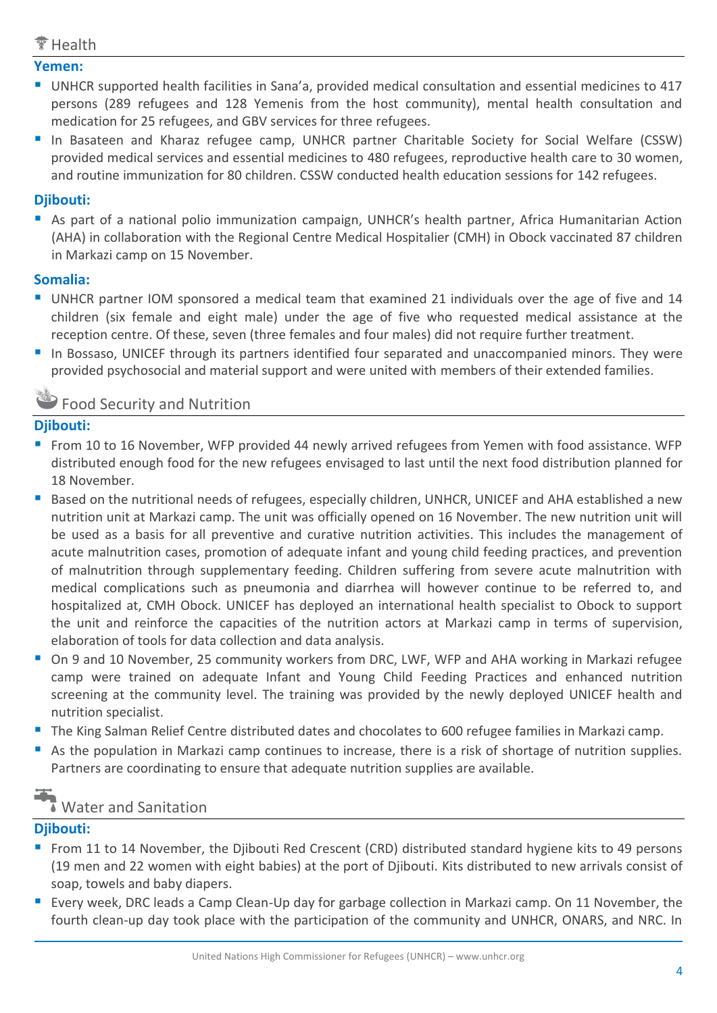#### $\tilde{ }$  Health

#### **Yemen:**

- UNHCR supported health facilities in Sana'a, provided medical consultation and essential medicines to 417 persons (289 refugees and 128 Yemenis from the host community), mental health consultation and medication for 25 refugees, and GBV services for three refugees.
- In Basateen and Kharaz refugee camp, UNHCR partner Charitable Society for Social Welfare (CSSW) provided medical services and essential medicines to 480 refugees, reproductive health care to 30 women, and routine immunization for 80 children. CSSW conducted health education sessions for 142 refugees.

#### **Djibouti:**

 As part of a national polio immunization campaign, UNHCR's health partner, Africa Humanitarian Action (AHA) in collaboration with the Regional Centre Medical Hospitalier (CMH) in Obock vaccinated 87 children in Markazi camp on 15 November.

#### **Somalia:**

- UNHCR partner IOM sponsored a medical team that examined 21 individuals over the age of five and 14 children (six female and eight male) under the age of five who requested medical assistance at the reception centre. Of these, seven (three females and four males) did not require further treatment.
- In Bossaso, UNICEF through its partners identified four separated and unaccompanied minors. They were provided psychosocial and material support and were united with members of their extended families.

## Food Security and Nutrition

#### **Djibouti:**

- From 10 to 16 November, WFP provided 44 newly arrived refugees from Yemen with food assistance. WFP distributed enough food for the new refugees envisaged to last until the next food distribution planned for 18 November.
- Based on the nutritional needs of refugees, especially children, UNHCR, UNICEF and AHA established a new nutrition unit at Markazi camp. The unit was officially opened on 16 November. The new nutrition unit will be used as a basis for all preventive and curative nutrition activities. This includes the management of acute malnutrition cases, promotion of adequate infant and young child feeding practices, and prevention of malnutrition through supplementary feeding. Children suffering from severe acute malnutrition with medical complications such as pneumonia and diarrhea will however continue to be referred to, and hospitalized at, CMH Obock. UNICEF has deployed an international health specialist to Obock to support the unit and reinforce the capacities of the nutrition actors at Markazi camp in terms of supervision, elaboration of tools for data collection and data analysis.
- On 9 and 10 November, 25 community workers from DRC, LWF, WFP and AHA working in Markazi refugee camp were trained on adequate Infant and Young Child Feeding Practices and enhanced nutrition screening at the community level. The training was provided by the newly deployed UNICEF health and nutrition specialist.
- The King Salman Relief Centre distributed dates and chocolates to 600 refugee families in Markazi camp.
- As the population in Markazi camp continues to increase, there is a risk of shortage of nutrition supplies. Partners are coordinating to ensure that adequate nutrition supplies are available.

### Water and Sanitation

#### **Djibouti:**

- From 11 to 14 November, the Djibouti Red Crescent (CRD) distributed standard hygiene kits to 49 persons (19 men and 22 women with eight babies) at the port of Djibouti. Kits distributed to new arrivals consist of soap, towels and baby diapers.
- **E** Every week, DRC leads a Camp Clean-Up day for garbage collection in Markazi camp. On 11 November, the fourth clean-up day took place with the participation of the community and UNHCR, ONARS, and NRC. In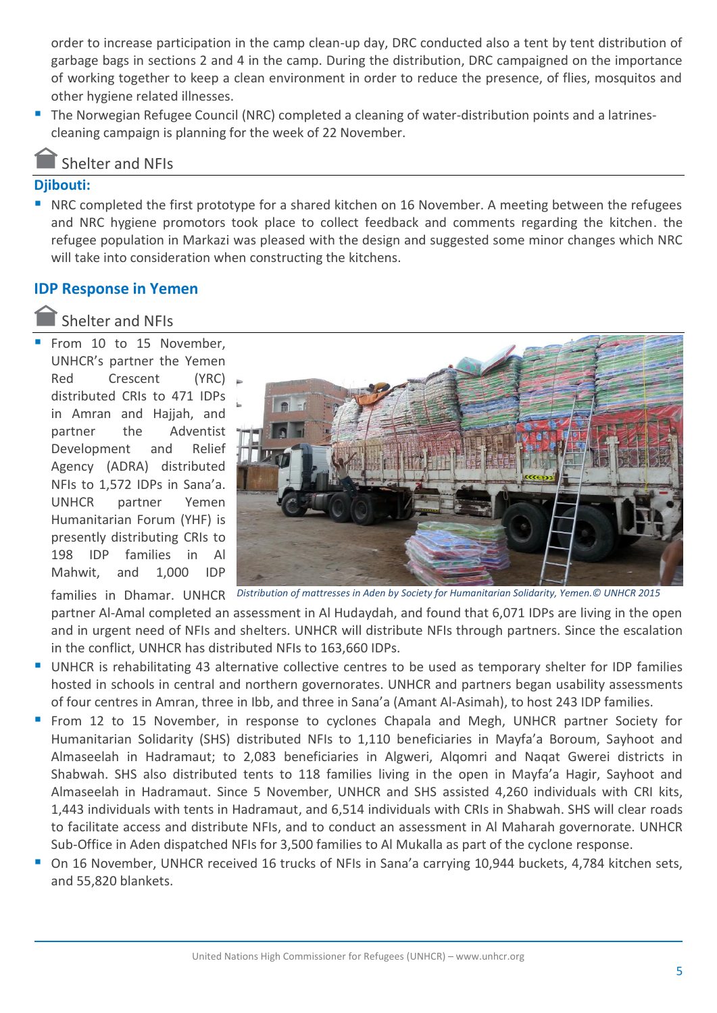order to increase participation in the camp clean-up day, DRC conducted also a tent by tent distribution of garbage bags in sections 2 and 4 in the camp. During the distribution, DRC campaigned on the importance of working together to keep a clean environment in order to reduce the presence, of flies, mosquitos and other hygiene related illnesses.

**The Norwegian Refugee Council (NRC) completed a cleaning of water-distribution points and a latrines**cleaning campaign is planning for the week of 22 November.

#### Shelter and NFIs

#### **Djibouti:**

 NRC completed the first prototype for a shared kitchen on 16 November. A meeting between the refugees and NRC hygiene promotors took place to collect feedback and comments regarding the kitchen. the refugee population in Markazi was pleased with the design and suggested some minor changes which NRC will take into consideration when constructing the kitchens.

#### **IDP Response in Yemen**

#### Shelter and NFIs

 From 10 to 15 November, UNHCR's partner the Yemen Red Crescent (YRC) distributed CRIs to 471 IDPs in Amran and Hajjah, and partner the Adventist Development and Relief Agency (ADRA) distributed NFIs to 1,572 IDPs in Sana'a. UNHCR partner Yemen Humanitarian Forum (YHF) is presently distributing CRIs to 198 IDP families in Al Mahwit, and 1,000 IDP



families in Dhamar. UNHCR *Distribution of mattresses in Aden by Society for Humanitarian Solidarity, Yemen.© UNHCR 2015* 

partner Al-Amal completed an assessment in Al Hudaydah, and found that 6,071 IDPs are living in the open and in urgent need of NFIs and shelters. UNHCR will distribute NFIs through partners. Since the escalation in the conflict, UNHCR has distributed NFIs to 163,660 IDPs.

- UNHCR is rehabilitating 43 alternative collective centres to be used as temporary shelter for IDP families hosted in schools in central and northern governorates. UNHCR and partners began usability assessments of four centres in Amran, three in Ibb, and three in Sana'a (Amant Al-Asimah), to host 243 IDP families.
- From 12 to 15 November, in response to cyclones Chapala and Megh, UNHCR partner Society for Humanitarian Solidarity (SHS) distributed NFIs to 1,110 beneficiaries in Mayfa'a Boroum, Sayhoot and Almaseelah in Hadramaut; to 2,083 beneficiaries in Algweri, Alqomri and Naqat Gwerei districts in Shabwah. SHS also distributed tents to 118 families living in the open in Mayfa'a Hagir, Sayhoot and Almaseelah in Hadramaut. Since 5 November, UNHCR and SHS assisted 4,260 individuals with CRI kits, 1,443 individuals with tents in Hadramaut, and 6,514 individuals with CRIs in Shabwah. SHS will clear roads to facilitate access and distribute NFIs, and to conduct an assessment in Al Maharah governorate. UNHCR Sub-Office in Aden dispatched NFIs for 3,500 families to Al Mukalla as part of the cyclone response.
- On 16 November, UNHCR received 16 trucks of NFIs in Sana'a carrying 10,944 buckets, 4,784 kitchen sets, and 55,820 blankets.